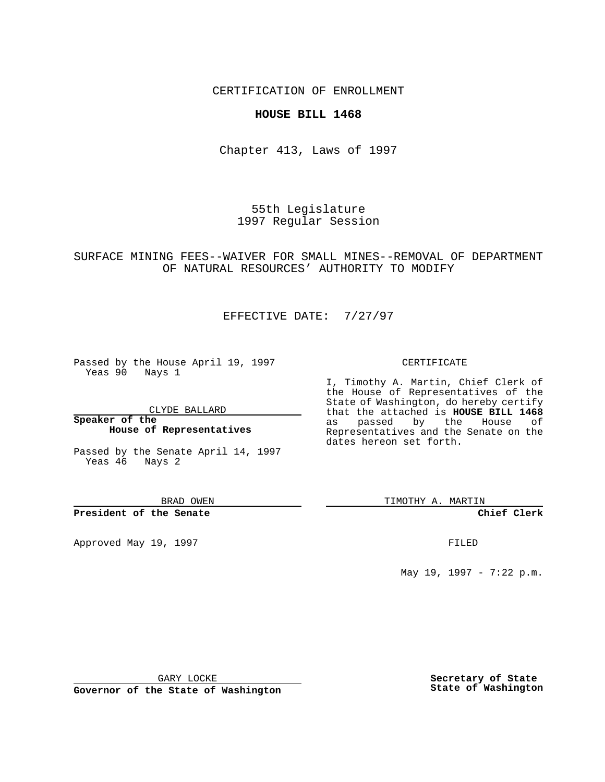CERTIFICATION OF ENROLLMENT

### **HOUSE BILL 1468**

Chapter 413, Laws of 1997

55th Legislature 1997 Regular Session

## SURFACE MINING FEES--WAIVER FOR SMALL MINES--REMOVAL OF DEPARTMENT OF NATURAL RESOURCES' AUTHORITY TO MODIFY

# EFFECTIVE DATE: 7/27/97

Passed by the House April 19, 1997 Yeas 90 Nays 1

CLYDE BALLARD

**Speaker of the House of Representatives**

Passed by the Senate April 14, 1997 Yeas 46 Nays 2

BRAD OWEN

**President of the Senate**

Approved May 19, 1997 **FILED** 

#### CERTIFICATE

I, Timothy A. Martin, Chief Clerk of the House of Representatives of the State of Washington, do hereby certify that the attached is **HOUSE BILL 1468** as passed by the House of Representatives and the Senate on the dates hereon set forth.

TIMOTHY A. MARTIN

**Chief Clerk**

May 19, 1997 - 7:22 p.m.

GARY LOCKE

**Governor of the State of Washington**

**Secretary of State State of Washington**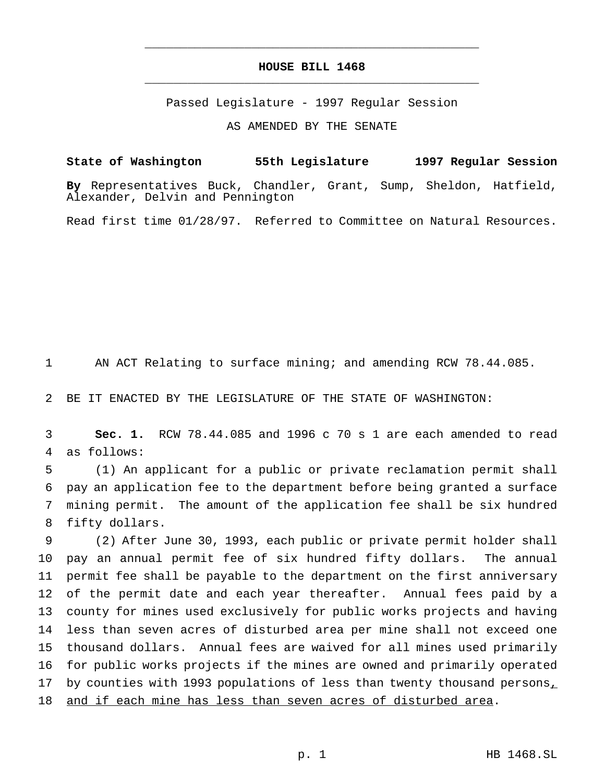## **HOUSE BILL 1468** \_\_\_\_\_\_\_\_\_\_\_\_\_\_\_\_\_\_\_\_\_\_\_\_\_\_\_\_\_\_\_\_\_\_\_\_\_\_\_\_\_\_\_\_\_\_\_

\_\_\_\_\_\_\_\_\_\_\_\_\_\_\_\_\_\_\_\_\_\_\_\_\_\_\_\_\_\_\_\_\_\_\_\_\_\_\_\_\_\_\_\_\_\_\_

Passed Legislature - 1997 Regular Session

AS AMENDED BY THE SENATE

**State of Washington 55th Legislature 1997 Regular Session By** Representatives Buck, Chandler, Grant, Sump, Sheldon, Hatfield, Alexander, Delvin and Pennington

Read first time 01/28/97. Referred to Committee on Natural Resources.

AN ACT Relating to surface mining; and amending RCW 78.44.085.

BE IT ENACTED BY THE LEGISLATURE OF THE STATE OF WASHINGTON:

 **Sec. 1.** RCW 78.44.085 and 1996 c 70 s 1 are each amended to read as follows:

 (1) An applicant for a public or private reclamation permit shall pay an application fee to the department before being granted a surface mining permit. The amount of the application fee shall be six hundred fifty dollars.

 (2) After June 30, 1993, each public or private permit holder shall pay an annual permit fee of six hundred fifty dollars. The annual permit fee shall be payable to the department on the first anniversary of the permit date and each year thereafter. Annual fees paid by a county for mines used exclusively for public works projects and having less than seven acres of disturbed area per mine shall not exceed one thousand dollars. Annual fees are waived for all mines used primarily for public works projects if the mines are owned and primarily operated 17 by counties with 1993 populations of less than twenty thousand persons, and if each mine has less than seven acres of disturbed area.